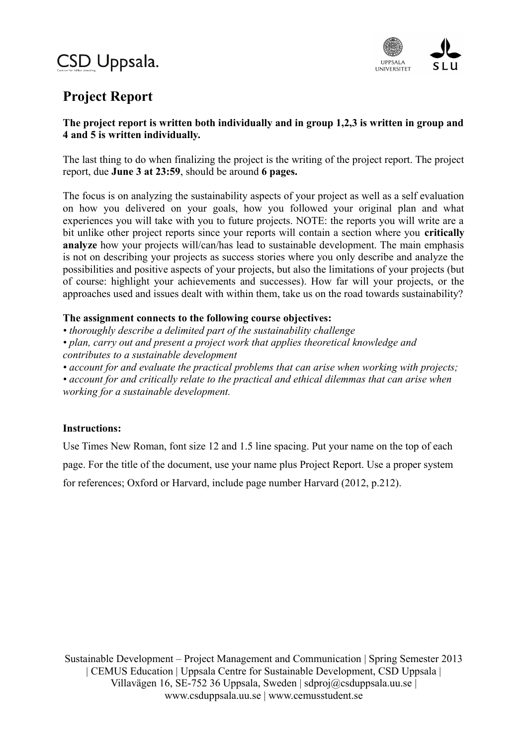# CSD Uppsala.



# **Project Report**

# **The project report is written both individually and in group 1,2,3 is written in group and 4 and 5 is written individually.**

The last thing to do when finalizing the project is the writing of the project report. The project report, due **June 3 at 23:59**, should be around **6 pages.** 

The focus is on analyzing the sustainability aspects of your project as well as a self evaluation on how you delivered on your goals, how you followed your original plan and what experiences you will take with you to future projects. NOTE: the reports you will write are a bit unlike other project reports since your reports will contain a section where you **critically analyze** how your projects will/can/has lead to sustainable development. The main emphasis is not on describing your projects as success stories where you only describe and analyze the possibilities and positive aspects of your projects, but also the limitations of your projects (but of course: highlight your achievements and successes). How far will your projects, or the approaches used and issues dealt with within them, take us on the road towards sustainability?

# **The assignment connects to the following course objectives:**

*• thoroughly describe a delimited part of the sustainability challenge*

*• plan, carry out and present a project work that applies theoretical knowledge and*

*contributes to a sustainable development*

*• account for and evaluate the practical problems that can arise when working with projects;*

*• account for and critically relate to the practical and ethical dilemmas that can arise when working for a sustainable development.*

# **Instructions:**

Use Times New Roman, font size 12 and 1.5 line spacing. Put your name on the top of each page. For the title of the document, use your name plus Project Report. Use a proper system for references; Oxford or Harvard, include page number Harvard (2012, p.212).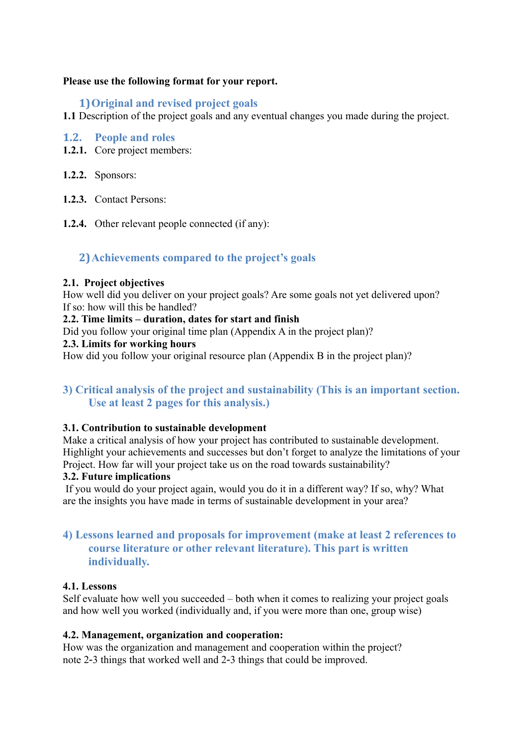#### **Please use the following format for your report.**

# **1)Original and revised project goals**

**1.1** Description of the project goals and any eventual changes you made during the project.

#### **1.2. People and roles**

- **1.2.1.** Core project members:
- **1.2.2.** Sponsors:
- **1.2.3.** Contact Persons:
- **1.2.4.** Other relevant people connected (if any):

# **2)Achievements compared to the project's goals**

#### **2.1. Project objectives**

How well did you deliver on your project goals? Are some goals not yet delivered upon? If so: how will this be handled?

#### **2.2. Time limits – duration, dates for start and finish**

Did you follow your original time plan (Appendix A in the project plan)?

#### **2.3. Limits for working hours**

How did you follow your original resource plan (Appendix B in the project plan)?

# **3) Critical analysis of the project and sustainability (This is an important section. Use at least 2 pages for this analysis.)**

#### **3.1. Contribution to sustainable development**

Make a critical analysis of how your project has contributed to sustainable development. Highlight your achievements and successes but don't forget to analyze the limitations of your Project. How far will your project take us on the road towards sustainability?

#### **3.2. Future implications**

If you would do your project again, would you do it in a different way? If so, why? What are the insights you have made in terms of sustainable development in your area?

# **4) Lessons learned and proposals for improvement (make at least 2 references to course literature or other relevant literature). This part is written individually.**

#### **4.1. Lessons**

Self evaluate how well you succeeded – both when it comes to realizing your project goals and how well you worked (individually and, if you were more than one, group wise)

#### **4.2. Management, organization and cooperation:**

How was the organization and management and cooperation within the project? note 2‐3 things that worked well and 2‐3 things that could be improved.